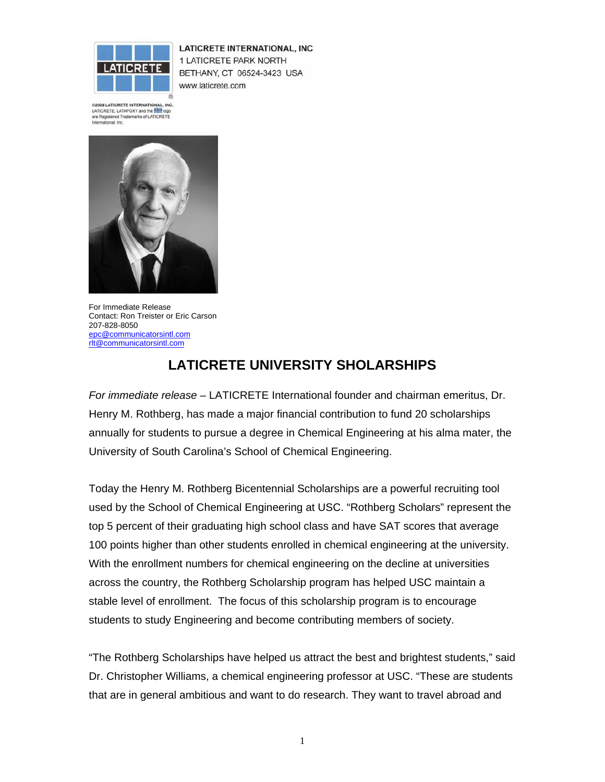

**LATICRETE INTERNATIONAL, INC** 1 LATICRETE PARK NORTH BETHANY, CT 06524-3423 USA www.laticrete.com

@2005 LATICRETE INTERNATIONAL, INC. LATICRETE, LATAPOXY and the **first logo** are Registered Trademarks of LATICRETE<br>International, Inc.



For Immediate Release Contact: Ron Treister or Eric Carson 207-828-8050 epc@communicatorsintl.com rlt@communicatorsintl.com

## **LATICRETE UNIVERSITY SHOLARSHIPS**

*For immediate release* – LATICRETE International founder and chairman emeritus, Dr. Henry M. Rothberg, has made a major financial contribution to fund 20 scholarships annually for students to pursue a degree in Chemical Engineering at his alma mater, the University of South Carolina's School of Chemical Engineering.

Today the Henry M. Rothberg Bicentennial Scholarships are a powerful recruiting tool used by the School of Chemical Engineering at USC. "Rothberg Scholars" represent the top 5 percent of their graduating high school class and have SAT scores that average 100 points higher than other students enrolled in chemical engineering at the university. With the enrollment numbers for chemical engineering on the decline at universities across the country, the Rothberg Scholarship program has helped USC maintain a stable level of enrollment. The focus of this scholarship program is to encourage students to study Engineering and become contributing members of society.

"The Rothberg Scholarships have helped us attract the best and brightest students," said Dr. Christopher Williams, a chemical engineering professor at USC. "These are students that are in general ambitious and want to do research. They want to travel abroad and